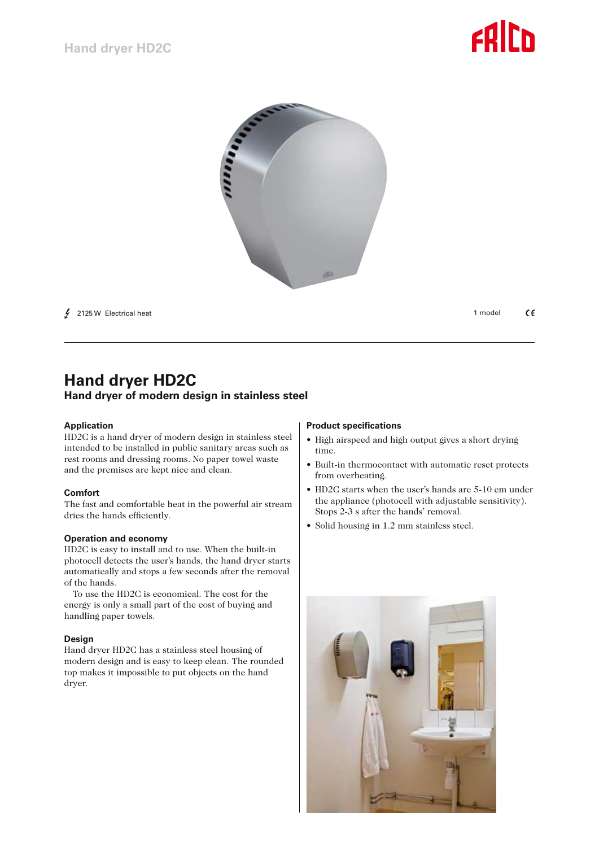



 $\frac{1}{2}$  2125 W Electrical heat

1 model C€

# **Hand dryer HD2C Hand dryer of modern design in stainless steel**

### **Application**

HD2C is a hand dryer of modern design in stainless steel intended to be installed in public sanitary areas such as rest rooms and dressing rooms. No paper towel waste and the premises are kept nice and clean.

### **Comfort**

The fast and comfortable heat in the powerful air stream dries the hands efficiently.

### **Operation and economy**

HD2C is easy to install and to use. When the built-in photocell detects the user's hands, the hand dryer starts automatically and stops a few seconds after the removal of the hands.

To use the HD2C is economical. The cost for the energy is only a small part of the cost of buying and handling paper towels.

#### **Design**

Hand dryer HD2C has a stainless steel housing of modern design and is easy to keep clean. The rounded top makes it impossible to put objects on the hand dryer.

#### **Product specifications**

- High airspeed and high output gives a short drying time.
- • Built-in thermocontact with automatic reset protects from overheating.
- HD2C starts when the user's hands are 5-10 cm under the appliance (photocell with adjustable sensitivity). Stops 2-3 s after the hands' removal.
- Solid housing in 1.2 mm stainless steel.